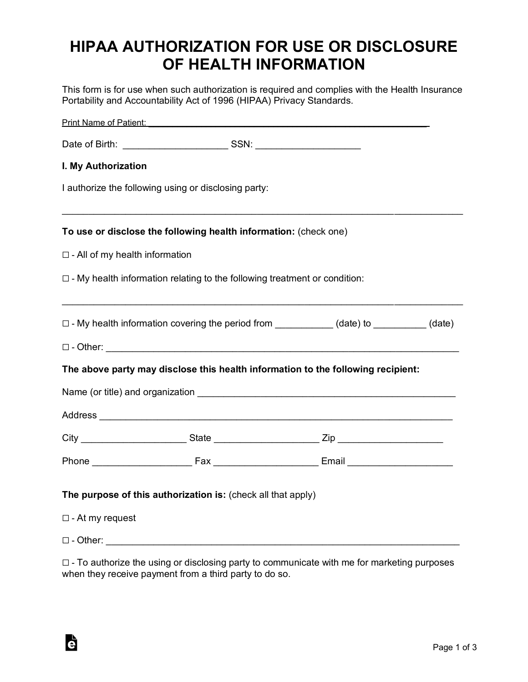# **HIPAA AUTHORIZATION FOR USE OR DISCLOSURE OF HEALTH INFORMATION**

This form is for use when such authorization is required and complies with the Health Insurance Portability and Accountability Act of 1996 (HIPAA) Privacy Standards.

| <b>Print Name of Patient:</b> Print Name of Patient: |                                                                                  |                                                                                                                                                                                                                                     |  |  |
|------------------------------------------------------|----------------------------------------------------------------------------------|-------------------------------------------------------------------------------------------------------------------------------------------------------------------------------------------------------------------------------------|--|--|
|                                                      |                                                                                  |                                                                                                                                                                                                                                     |  |  |
| I. My Authorization                                  |                                                                                  |                                                                                                                                                                                                                                     |  |  |
|                                                      | I authorize the following using or disclosing party:                             |                                                                                                                                                                                                                                     |  |  |
|                                                      | To use or disclose the following health information: (check one)                 |                                                                                                                                                                                                                                     |  |  |
| $\Box$ - All of my health information                |                                                                                  |                                                                                                                                                                                                                                     |  |  |
|                                                      | $\Box$ - My health information relating to the following treatment or condition: |                                                                                                                                                                                                                                     |  |  |
|                                                      |                                                                                  | □ - My health information covering the period from __________(date) to ________(date)                                                                                                                                               |  |  |
|                                                      |                                                                                  |                                                                                                                                                                                                                                     |  |  |
|                                                      |                                                                                  | The above party may disclose this health information to the following recipient:                                                                                                                                                    |  |  |
|                                                      |                                                                                  | Name (or title) and organization <b>Example 2018</b> 2019 12:00:00 12:00:00 12:00:00 12:00:00 12:00:00 12:00:00 12:00:00 12:00:00 12:00:00 12:00:00 12:00:00 12:00:00 12:00:00 12:00:00 12:00:00 12:00:00 12:00:00 12:00:00 12:00:0 |  |  |
|                                                      |                                                                                  |                                                                                                                                                                                                                                     |  |  |
|                                                      |                                                                                  |                                                                                                                                                                                                                                     |  |  |
|                                                      |                                                                                  |                                                                                                                                                                                                                                     |  |  |
|                                                      | The purpose of this authorization is: (check all that apply)                     |                                                                                                                                                                                                                                     |  |  |
| $\Box$ - At my request                               |                                                                                  |                                                                                                                                                                                                                                     |  |  |
|                                                      |                                                                                  |                                                                                                                                                                                                                                     |  |  |

☐ - To authorize the using or disclosing party to communicate with me for marketing purposes when they receive payment from a third party to do so.

è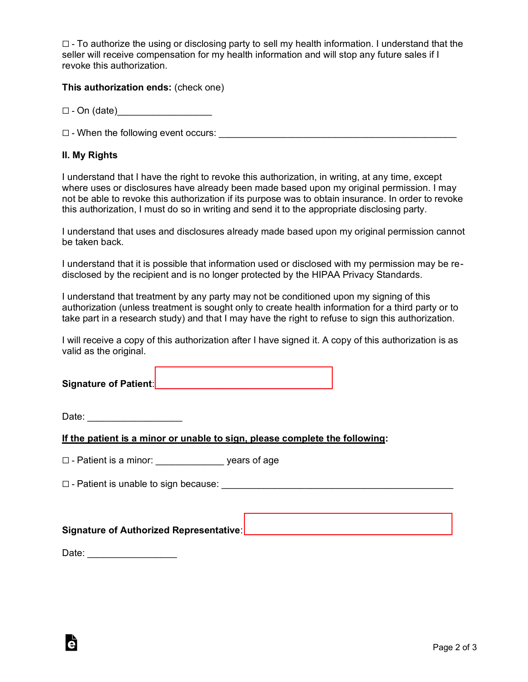$\Box$  - To authorize the using or disclosing party to sell my health information. I understand that the seller will receive compensation for my health information and will stop any future sales if I revoke this authorization.

**This authorization ends:** (check one)

 $\Box$  - On (date)

 $\Box$  - When the following event occurs:

### **II. My Rights**

I understand that I have the right to revoke this authorization, in writing, at any time, except where uses or disclosures have already been made based upon my original permission. I may not be able to revoke this authorization if its purpose was to obtain insurance. In order to revoke this authorization, I must do so in writing and send it to the appropriate disclosing party.

I understand that uses and disclosures already made based upon my original permission cannot be taken back.

I understand that it is possible that information used or disclosed with my permission may be redisclosed by the recipient and is no longer protected by the HIPAA Privacy Standards.

I understand that treatment by any party may not be conditioned upon my signing of this authorization (unless treatment is sought only to create health information for a third party or to take part in a research study) and that I may have the right to refuse to sign this authorization.

I will receive a copy of this authorization after I have signed it. A copy of this authorization is as valid as the original.

**Signature of Patient:**  $\blacksquare$ 

Date: \_\_\_\_\_\_\_\_\_\_\_\_\_\_\_\_\_\_

**If the patient is a minor or unable to sign, please complete the following:** 

 $\Box$  - Patient is a minor:  $\Box$  years of age

☐ - Patient is unable to sign because: \_\_\_\_\_\_\_\_\_\_\_\_\_\_\_\_\_\_\_\_\_\_\_\_\_\_\_\_\_\_\_\_\_\_\_\_\_\_\_\_\_\_\_\_

**Signature of Authorized Representative**: \_\_\_\_\_\_\_\_\_\_\_\_\_\_\_\_\_\_\_\_\_\_\_\_\_\_\_\_\_\_\_\_\_\_\_\_\_\_\_

Date: \_\_\_\_\_\_\_\_\_\_\_\_\_\_\_\_\_

Ġ